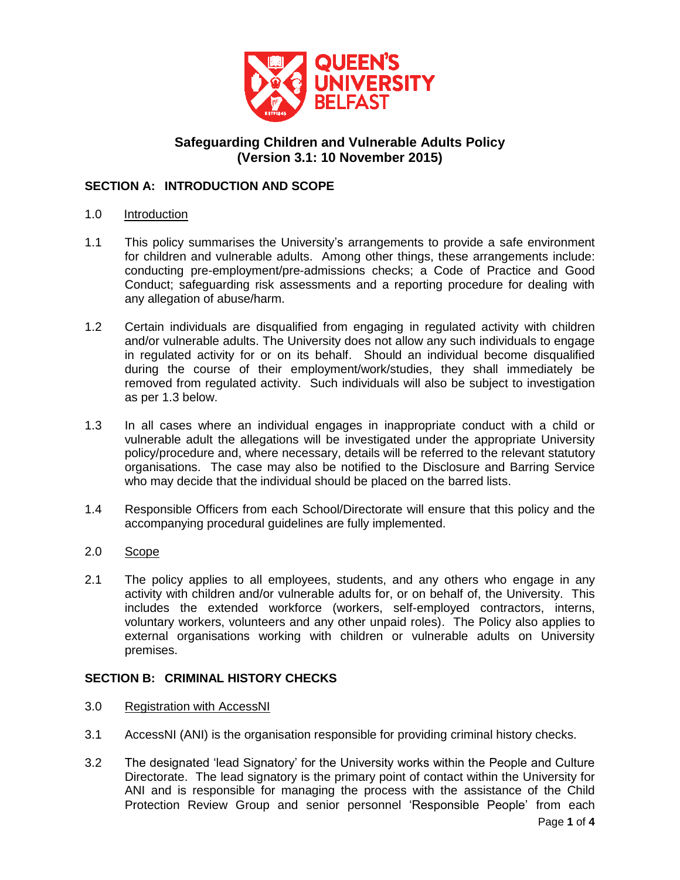

# **Safeguarding Children and Vulnerable Adults Policy (Version 3.1: 10 November 2015)**

## **SECTION A: INTRODUCTION AND SCOPE**

- 1.0 Introduction
- 1.1 This policy summarises the University's arrangements to provide a safe environment for children and vulnerable adults. Among other things, these arrangements include: conducting pre-employment/pre-admissions checks; a Code of Practice and Good Conduct; safeguarding risk assessments and a reporting procedure for dealing with any allegation of abuse/harm.
- 1.2 Certain individuals are disqualified from engaging in regulated activity with children and/or vulnerable adults. The University does not allow any such individuals to engage in regulated activity for or on its behalf. Should an individual become disqualified during the course of their employment/work/studies, they shall immediately be removed from regulated activity. Such individuals will also be subject to investigation as per 1.3 below.
- 1.3 In all cases where an individual engages in inappropriate conduct with a child or vulnerable adult the allegations will be investigated under the appropriate University policy/procedure and, where necessary, details will be referred to the relevant statutory organisations. The case may also be notified to the Disclosure and Barring Service who may decide that the individual should be placed on the barred lists.
- 1.4 Responsible Officers from each School/Directorate will ensure that this policy and the accompanying procedural guidelines are fully implemented.
- 2.0 Scope
- 2.1 The policy applies to all employees, students, and any others who engage in any activity with children and/or vulnerable adults for, or on behalf of, the University. This includes the extended workforce (workers, self-employed contractors, interns, voluntary workers, volunteers and any other unpaid roles). The Policy also applies to external organisations working with children or vulnerable adults on University premises.

## **SECTION B: CRIMINAL HISTORY CHECKS**

- 3.0 Registration with AccessNI
- 3.1 AccessNI (ANI) is the organisation responsible for providing criminal history checks.
- 3.2 The designated 'lead Signatory' for the University works within the People and Culture Directorate. The lead signatory is the primary point of contact within the University for ANI and is responsible for managing the process with the assistance of the Child Protection Review Group and senior personnel 'Responsible People' from each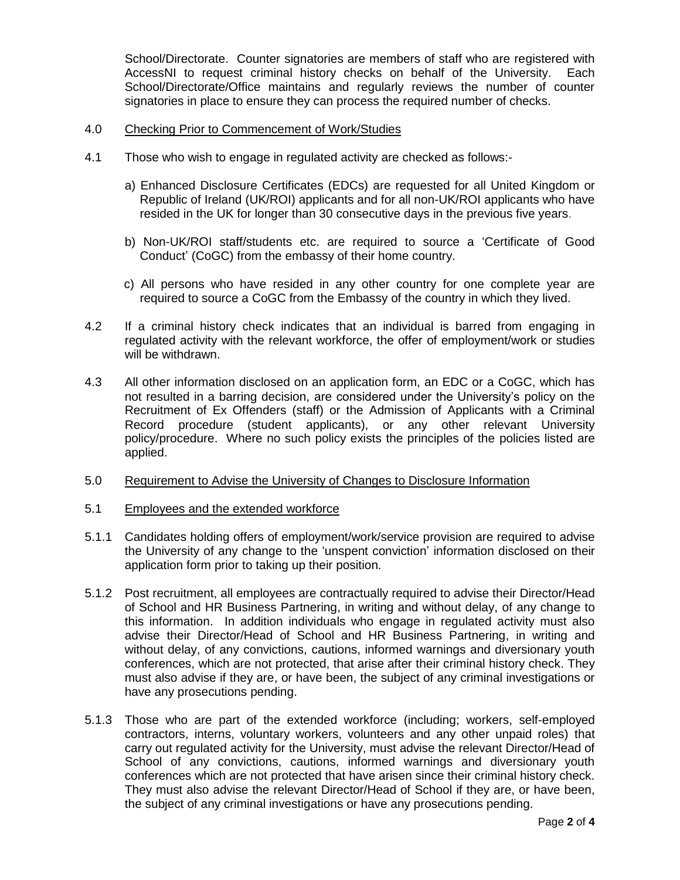School/Directorate. Counter signatories are members of staff who are registered with AccessNI to request criminal history checks on behalf of the University. Each School/Directorate/Office maintains and regularly reviews the number of counter signatories in place to ensure they can process the required number of checks.

#### 4.0 Checking Prior to Commencement of Work/Studies

- 4.1 Those who wish to engage in regulated activity are checked as follows:
	- a) Enhanced Disclosure Certificates (EDCs) are requested for all United Kingdom or Republic of Ireland (UK/ROI) applicants and for all non-UK/ROI applicants who have resided in the UK for longer than 30 consecutive days in the previous five years.
	- b) Non-UK/ROI staff/students etc. are required to source a 'Certificate of Good Conduct' (CoGC) from the embassy of their home country.
	- c) All persons who have resided in any other country for one complete year are required to source a CoGC from the Embassy of the country in which they lived.
- 4.2 If a criminal history check indicates that an individual is barred from engaging in regulated activity with the relevant workforce, the offer of employment/work or studies will be withdrawn.
- 4.3 All other information disclosed on an application form, an EDC or a CoGC, which has not resulted in a barring decision, are considered under the University's policy on the Recruitment of Ex Offenders (staff) or the Admission of Applicants with a Criminal Record procedure (student applicants), or any other relevant University policy/procedure. Where no such policy exists the principles of the policies listed are applied.
- 5.0 Requirement to Advise the University of Changes to Disclosure Information
- 5.1 Employees and the extended workforce
- 5.1.1 Candidates holding offers of employment/work/service provision are required to advise the University of any change to the 'unspent conviction' information disclosed on their application form prior to taking up their position.
- 5.1.2 Post recruitment, all employees are contractually required to advise their Director/Head of School and HR Business Partnering, in writing and without delay, of any change to this information. In addition individuals who engage in regulated activity must also advise their Director/Head of School and HR Business Partnering, in writing and without delay, of any convictions, cautions, informed warnings and diversionary youth conferences, which are not protected, that arise after their criminal history check. They must also advise if they are, or have been, the subject of any criminal investigations or have any prosecutions pending.
- 5.1.3 Those who are part of the extended workforce (including; workers, self-employed contractors, interns, voluntary workers, volunteers and any other unpaid roles) that carry out regulated activity for the University, must advise the relevant Director/Head of School of any convictions, cautions, informed warnings and diversionary youth conferences which are not protected that have arisen since their criminal history check. They must also advise the relevant Director/Head of School if they are, or have been, the subject of any criminal investigations or have any prosecutions pending.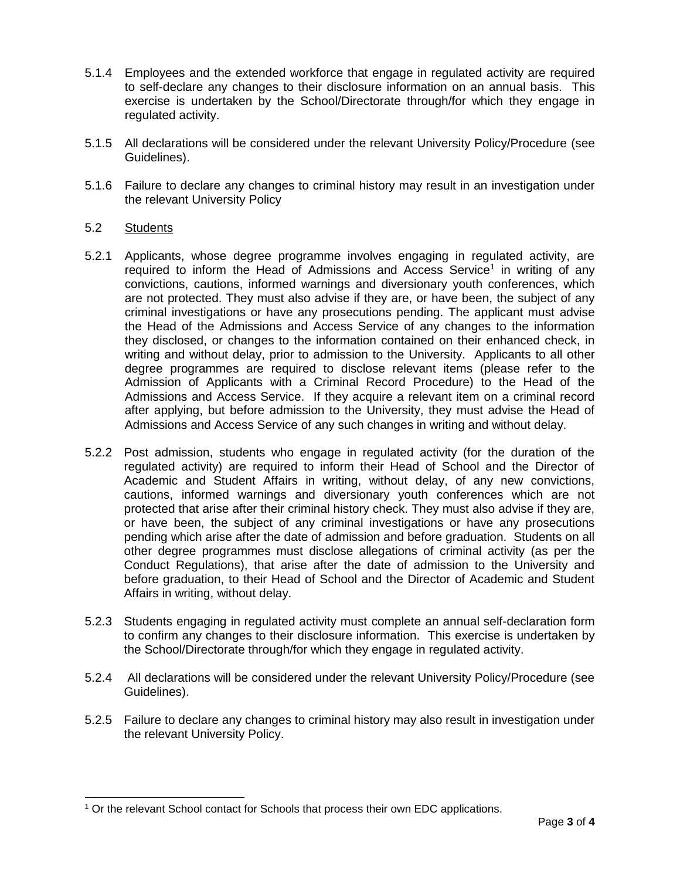- 5.1.4 Employees and the extended workforce that engage in regulated activity are required to self-declare any changes to their disclosure information on an annual basis. This exercise is undertaken by the School/Directorate through/for which they engage in regulated activity.
- 5.1.5 All declarations will be considered under the relevant University Policy/Procedure (see Guidelines).
- 5.1.6 Failure to declare any changes to criminal history may result in an investigation under the relevant University Policy
- 5.2 Students

l

- 5.2.1 Applicants, whose degree programme involves engaging in regulated activity, are required to inform the Head of Admissions and Access Service<sup>1</sup> in writing of any convictions, cautions, informed warnings and diversionary youth conferences, which are not protected. They must also advise if they are, or have been, the subject of any criminal investigations or have any prosecutions pending. The applicant must advise the Head of the Admissions and Access Service of any changes to the information they disclosed, or changes to the information contained on their enhanced check, in writing and without delay, prior to admission to the University. Applicants to all other degree programmes are required to disclose relevant items (please refer to the Admission of Applicants with a Criminal Record Procedure) to the Head of the Admissions and Access Service. If they acquire a relevant item on a criminal record after applying, but before admission to the University, they must advise the Head of Admissions and Access Service of any such changes in writing and without delay.
- 5.2.2 Post admission, students who engage in regulated activity (for the duration of the regulated activity) are required to inform their Head of School and the Director of Academic and Student Affairs in writing, without delay, of any new convictions, cautions, informed warnings and diversionary youth conferences which are not protected that arise after their criminal history check. They must also advise if they are, or have been, the subject of any criminal investigations or have any prosecutions pending which arise after the date of admission and before graduation. Students on all other degree programmes must disclose allegations of criminal activity (as per the Conduct Regulations), that arise after the date of admission to the University and before graduation, to their Head of School and the Director of Academic and Student Affairs in writing, without delay.
- 5.2.3 Students engaging in regulated activity must complete an annual self-declaration form to confirm any changes to their disclosure information. This exercise is undertaken by the School/Directorate through/for which they engage in regulated activity.
- 5.2.4 All declarations will be considered under the relevant University Policy/Procedure (see Guidelines).
- 5.2.5 Failure to declare any changes to criminal history may also result in investigation under the relevant University Policy.

<sup>1</sup> Or the relevant School contact for Schools that process their own EDC applications.